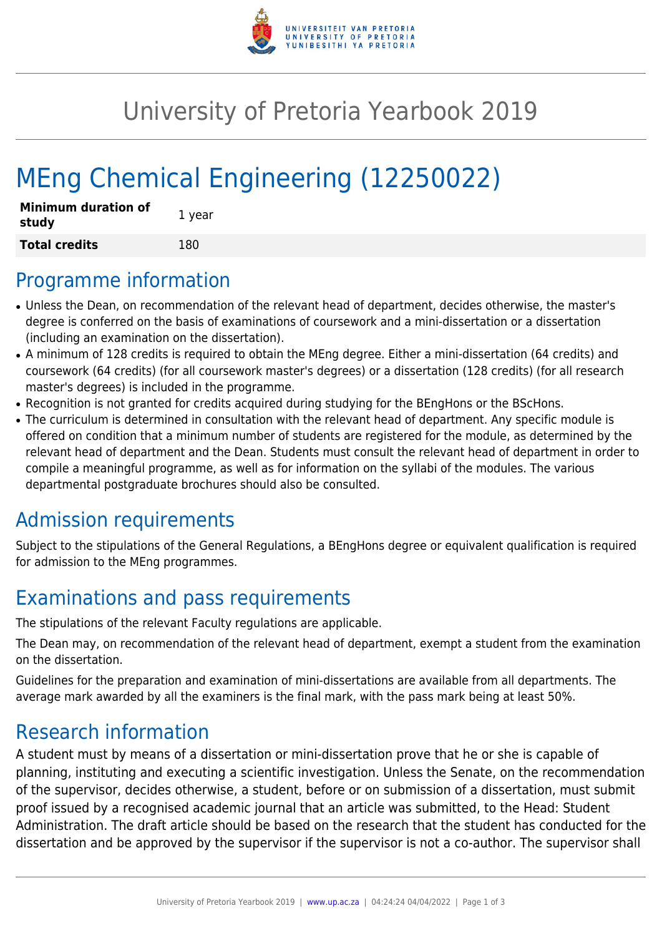

## University of Pretoria Yearbook 2019

# MEng Chemical Engineering (12250022)

| <b>Minimum duration of</b><br>study | 1 year |
|-------------------------------------|--------|
| <b>Total credits</b>                | 180    |

#### Programme information

- Unless the Dean, on recommendation of the relevant head of department, decides otherwise, the master's degree is conferred on the basis of examinations of coursework and a mini-dissertation or a dissertation (including an examination on the dissertation).
- A minimum of 128 credits is required to obtain the MEng degree. Either a mini-dissertation (64 credits) and coursework (64 credits) (for all coursework master's degrees) or a dissertation (128 credits) (for all research master's degrees) is included in the programme.
- Recognition is not granted for credits acquired during studying for the BEngHons or the BScHons.
- The curriculum is determined in consultation with the relevant head of department. Any specific module is offered on condition that a minimum number of students are registered for the module, as determined by the relevant head of department and the Dean. Students must consult the relevant head of department in order to compile a meaningful programme, as well as for information on the syllabi of the modules. The various departmental postgraduate brochures should also be consulted.

### Admission requirements

Subject to the stipulations of the General Regulations, a BEngHons degree or equivalent qualification is required for admission to the MEng programmes.

### Examinations and pass requirements

The stipulations of the relevant Faculty regulations are applicable.

The Dean may, on recommendation of the relevant head of department, exempt a student from the examination on the dissertation.

Guidelines for the preparation and examination of mini-dissertations are available from all departments. The average mark awarded by all the examiners is the final mark, with the pass mark being at least 50%.

### Research information

A student must by means of a dissertation or mini-dissertation prove that he or she is capable of planning, instituting and executing a scientific investigation. Unless the Senate, on the recommendation of the supervisor, decides otherwise, a student, before or on submission of a dissertation, must submit proof issued by a recognised academic journal that an article was submitted, to the Head: Student Administration. The draft article should be based on the research that the student has conducted for the dissertation and be approved by the supervisor if the supervisor is not a co-author. The supervisor shall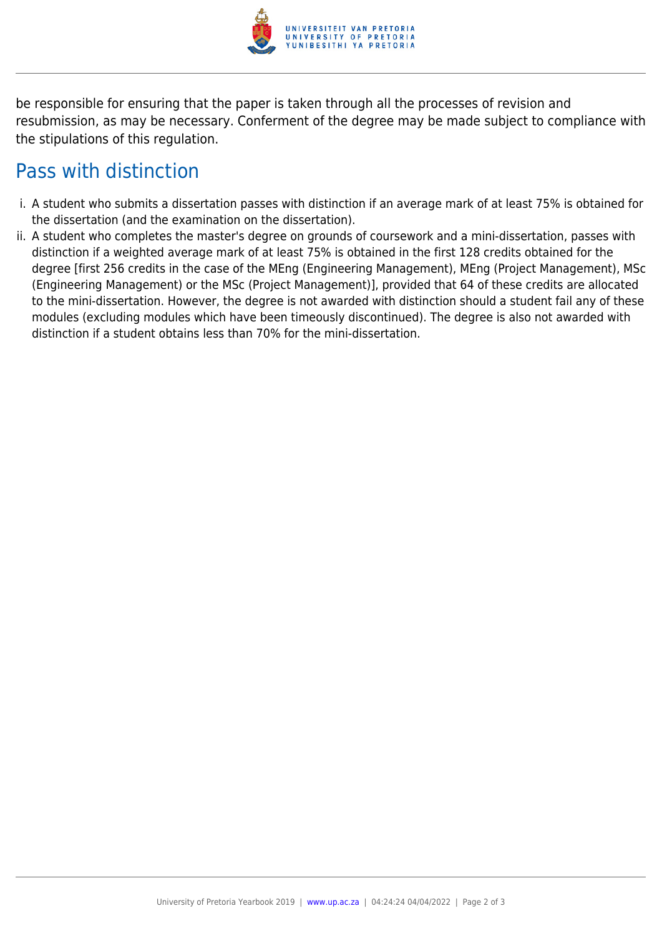

be responsible for ensuring that the paper is taken through all the processes of revision and resubmission, as may be necessary. Conferment of the degree may be made subject to compliance with the stipulations of this regulation.

#### Pass with distinction

- i. A student who submits a dissertation passes with distinction if an average mark of at least 75% is obtained for the dissertation (and the examination on the dissertation).
- ii. A student who completes the master's degree on grounds of coursework and a mini-dissertation, passes with distinction if a weighted average mark of at least 75% is obtained in the first 128 credits obtained for the degree [first 256 credits in the case of the MEng (Engineering Management), MEng (Project Management), MSc (Engineering Management) or the MSc (Project Management)], provided that 64 of these credits are allocated to the mini-dissertation. However, the degree is not awarded with distinction should a student fail any of these modules (excluding modules which have been timeously discontinued). The degree is also not awarded with distinction if a student obtains less than 70% for the mini-dissertation.